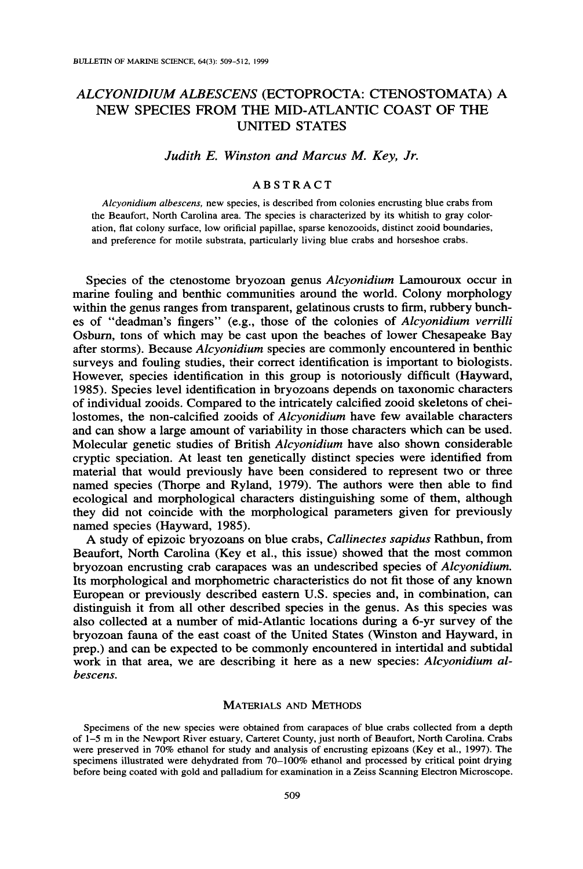# ALCYONIDIUM ALBESCENS (ECTOPROCTA: CTENOSTOMATA) A NEW SPECIES FROM THE MID-ATLANTIC COAST OF THE **UNITED STATES**

## Judith E. Winston and Marcus M. Key, Jr.

## **ARSTRACT**

Alcyonidium albescens, new species, is described from colonies encrusting blue crabs from the Beaufort, North Carolina area. The species is characterized by its whitish to gray coloration, flat colony surface, low orificial papillae, sparse kenozooids, distinct zooid boundaries, and preference for motile substrata, particularly living blue crabs and horseshoe crabs.

Species of the ctenostome bryozoan genus Alcyonidium Lamouroux occur in marine fouling and benthic communities around the world. Colony morphology within the genus ranges from transparent, gelatinous crusts to firm, rubbery bunches of "deadman's fingers" (e.g., those of the colonies of Alcyonidium verrilli Osburn, tons of which may be cast upon the beaches of lower Chesapeake Bay after storms). Because *Alcyonidium* species are commonly encountered in benthic surveys and fouling studies, their correct identification is important to biologists. However, species identification in this group is notoriously difficult (Hayward, 1985). Species level identification in bryozoans depends on taxonomic characters of individual zooids. Compared to the intricately calcified zooid skeletons of cheilostomes, the non-calcified zooids of Alcyonidium have few available characters and can show a large amount of variability in those characters which can be used. Molecular genetic studies of British Alcvonidium have also shown considerable cryptic speciation. At least ten genetically distinct species were identified from material that would previously have been considered to represent two or three named species (Thorpe and Ryland, 1979). The authors were then able to find ecological and morphological characters distinguishing some of them, although they did not coincide with the morphological parameters given for previously named species (Hayward, 1985).

A study of epizoic bryozoans on blue crabs, Callinectes sapidus Rathbun, from Beaufort, North Carolina (Key et al., this issue) showed that the most common bryozoan encrusting crab carapaces was an undescribed species of Alcyonidium. Its morphological and morphometric characteristics do not fit those of any known European or previously described eastern U.S. species and, in combination, can distinguish it from all other described species in the genus. As this species was also collected at a number of mid-Atlantic locations during a 6-yr survey of the bryozoan fauna of the east coast of the United States (Winston and Hayward, in prep.) and can be expected to be commonly encountered in intertidal and subtidal work in that area, we are describing it here as a new species: Alcyonidium albescens.

#### **MATERIALS AND METHODS**

Specimens of the new species were obtained from carapaces of blue crabs collected from a depth of 1-5 m in the Newport River estuary, Carteret County, just north of Beaufort, North Carolina. Crabs were preserved in 70% ethanol for study and analysis of encrusting epizoans (Key et al., 1997). The specimens illustrated were dehydrated from 70-100% ethanol and processed by critical point drying before being coated with gold and palladium for examination in a Zeiss Scanning Electron Microscope.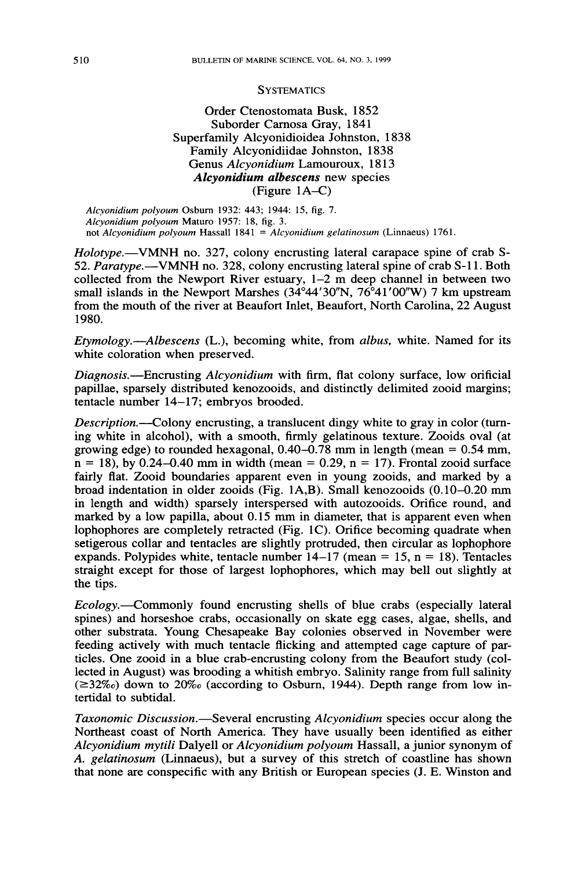#### **SYSTEMATICS**

## Order Ctenostomata Busk, 1852 Suborder Carnosa Gray, 1841 Superfamily Alcyonidioidea Johnston, 1838 Family Alcyonidiidae Johnston, 1838 Genus Alcyonidium Lamouroux, 1813 Alcyonidium albescens new species  $(Figure 1A-C)$

Alcyonidium polyoum Osburn 1932: 443; 1944: 15, fig. 7. Alcyonidium polyoum Maturo 1957: 18, fig. 3. not Alcyonidium polyoum Hassall  $1841 =$  Alcyonidium gelatinosum (Linnaeus) 1761.

*Holotype.*—VMNH no. 327, colony encrusting lateral carapace spine of crab S-52. Paratype.—VMNH no. 328, colony encrusting lateral spine of crab S-11. Both collected from the Newport River estuary,  $1-2$  m deep channel in between two small islands in the Newport Marshes (34°44'30"N, 76°41'00"W) 7 km upstream from the mouth of the river at Beaufort Inlet, Beaufort, North Carolina, 22 August 1980.

Etymology.—Albescens (L.), becoming white, from albus, white. Named for its white coloration when preserved.

Diagnosis.—Encrusting Alcyonidium with firm, flat colony surface, low orificial papillae, sparsely distributed kenozooids, and distinctly delimited zooid margins; tentacle number 14-17; embryos brooded.

*Description.*—Colony encrusting, a translucent dingy white to gray in color (turning white in alcohol), with a smooth, firmly gelatinous texture. Zooids oval (at growing edge) to rounded hexagonal,  $0.40 - 0.78$  mm in length (mean = 0.54 mm,  $n = 18$ , by 0.24–0.40 mm in width (mean = 0.29, n = 17). Frontal zooid surface fairly flat. Zooid boundaries apparent even in young zooids, and marked by a broad indentation in older zooids (Fig.  $1A,B$ ). Small kenozooids  $(0.10-0.20 \text{ mm})$ in length and width) sparsely interspersed with autozooids. Orifice round, and marked by a low papilla, about 0.15 mm in diameter, that is apparent even when lophophores are completely retracted (Fig. 1C). Orifice becoming quadrate when setigerous collar and tentacles are slightly protruded, then circular as lophophore expands. Polypides white, tentacle number  $14-17$  (mean = 15, n = 18). Tentacles straight except for those of largest lophophores, which may bell out slightly at the tips.

*Ecology*.—Commonly found encrusting shells of blue crabs (especially lateral spines) and horseshoe crabs, occasionally on skate egg cases, algae, shells, and other substrata. Young Chesapeake Bay colonies observed in November were feeding actively with much tentacle flicking and attempted cage capture of particles. One zooid in a blue crab-encrusting colony from the Beaufort study (collected in August) was brooding a whitish embryo. Salinity range from full salinity  $(\geq 32\%)$  down to 20% (according to Osburn, 1944). Depth range from low intertidal to subtidal.

Taxonomic Discussion.—Several encrusting Alcyonidium species occur along the Northeast coast of North America. They have usually been identified as either Alcyonidium mytili Dalyell or Alcyonidium polyoum Hassall, a junior synonym of A. gelatinosum (Linnaeus), but a survey of this stretch of coastline has shown that none are conspecific with any British or European species (J. E. Winston and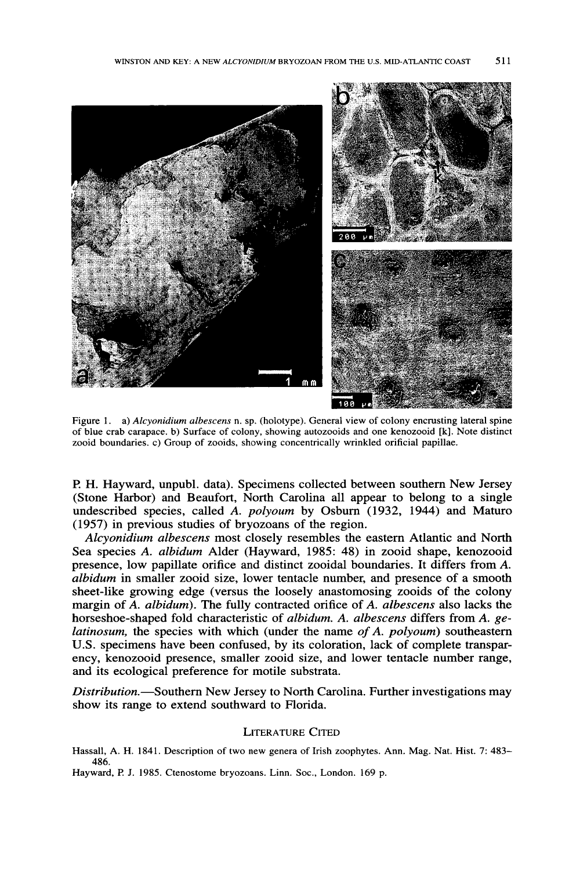

Figure 1. a) Alcyonidium albescens n. sp. (holotype). General view of colony encrusting lateral spine of blue crab carapace. b) Surface of colony, showing autozooids and one kenozooid [k]. Note distinct zooid boundaries, c) Group of zooids, showing concentrically wrinkled orificial papillae.

P. H. Hayward, unpubl. data). Specimens collected between southern New Jersey (Stone Harbor) and Beaufort, North Carolina all appear to belong to a single undescribed species, called A. polyoum by Osburn (1932, 1944) and Maturo (1957) in previous studies of bryozoans of the region.

Alcyonidium albescens most closely resembles the eastern Atlantic and North Sea species A. albidum Alder (Hayward, 1985: 48) in zooid shape, kenozooid presence, low papillate orifice and distinct zooidal boundaries. It differs from A. albidum in smaller zooid size, lower tentacle number, and presence of a smooth sheet-like growing edge (versus the loosely anastomosing zooids of the colony margin of A. albidum). The fully contracted orifice of A. albescens also lacks the horseshoe-shaped fold characteristic of albidum. A. albescens differs from A. gelatinosum, the species with which (under the name of A. polyoum) southeastern U.S. specimens have been confused, by its coloration, lack of complete transparency, kenozooid presence, smaller zooid size, and lower tentacle number range, and its ecological preference for motile substrata.

Distribution.—Southern New Jersey to North Carolina. Further investigations may show its range to extend southward to Florida.

#### **LITERATURE CITED**

Hassall, A. H. 1841. Description of two new genera of Irish zoophytes. Ann. Mag. Nat. Hist. 7: 483-486.

Hayward, P. J. 1985. Ctenostome bryozoans. Linn. Soc., London. 169 p.